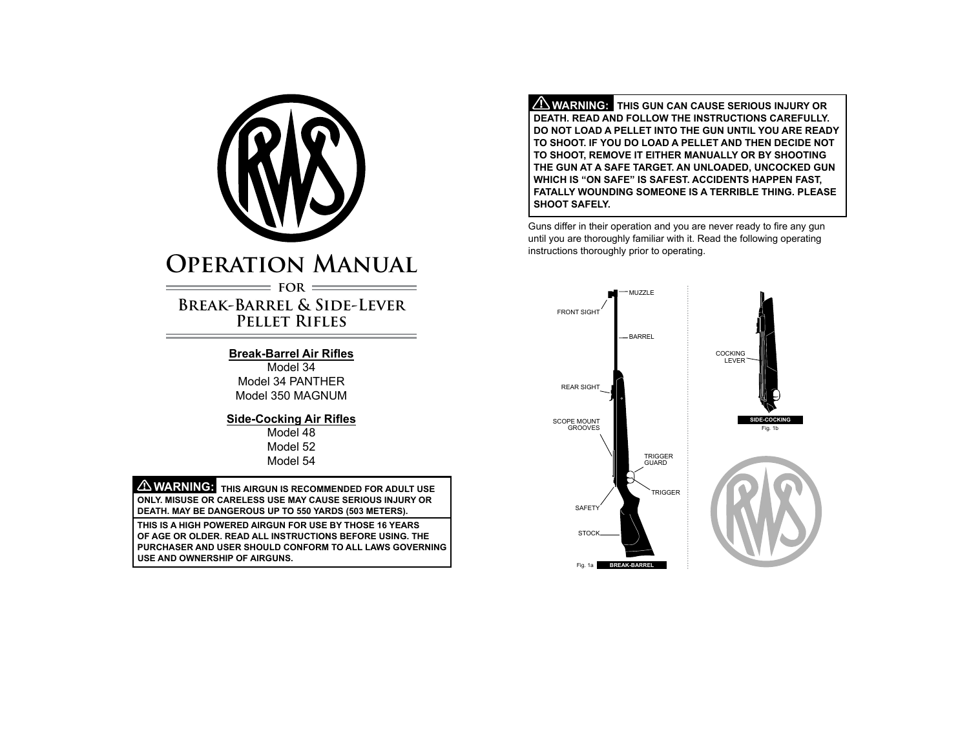

# **Operation Manual**  $=$  FOR  $=$

## **Break-Barrel & Side-Lever Pellet Rifles**

## **Break-Barrel Air Rifles**

Model 34 Model 34 PANTHER Model 350 MAGNUM

### **Side-Cocking Air Rifles**

Model 48 Model 52 Model 54

 **WARNING: THIS AIRGUN IS RECOMMENDED FOR ADULT USE ONLY. Misuse or careless use may cause serious injury or death. May be dangerous up to 550 yards (503 meters).**

**This is a high powerED airgun for use by those 16 years of age or older. Read all instructions before using. The purchaser and user should conform to all laws governing use and ownership of airguns.**

 **WARNING: This gun can cause serious injury or death. Read and follow the instructionS carefully. Do not load a pellet into the gun until you are ready to shoot. If you do load a pellet and then decide not to shoot, remove it either manually or by shooting the gun at a safe target. An unloaded, unCocked gun which is "ON SAFE" is safest. Accidents happen fast, FATALLY WOUNDING someone is a terrible thing. Please shoot safely.**

Guns differ in their operation and you are never ready to fire any gun until you are thoroughly familiar with it. Read the following operating instructions thoroughly prior to operating.

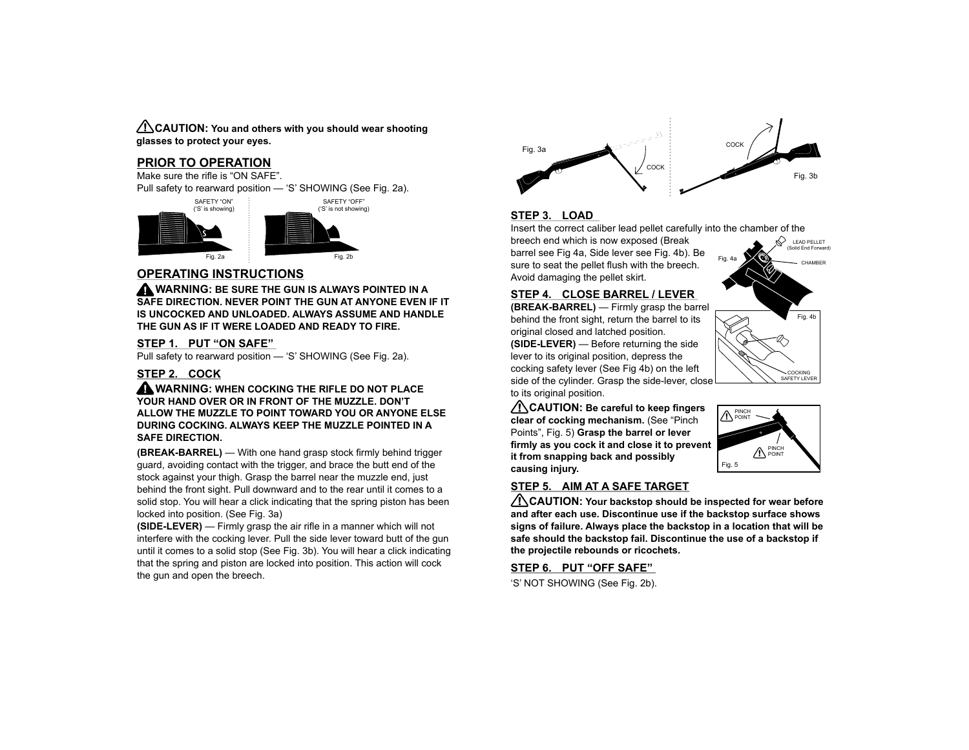**CAUTION: You and others with you should wear shooting glasses to protect your eyes.**

#### **PRIOR TO OPERATION**

Make sure the rifle is "ON SAFE".

Pull safety to rearward position — 'S' SHOWING (See Fig. 2a).





## **OPERATING INSTRUCTIONS**

 **WARNING: Be sure the gun is always pointed in a safe direction. Never point the gun at anyone even if it is uncocked and unloaded. Always assume and handle the gun as if it were loaded and ready to fire.**

#### **STEP 1. PUT "ON SAFE"**

Pull safety to rearward position — 'S' SHOWING (See Fig. 2a).

#### **STEP 2. COCK**

 **WARNING: When cocking the rifle do not place your hand over or in front of the muzzle. Don't allow the muzzle to point toward you or anyone else during cocking. Always keep the muzzle pointed in a safe direction.**

**(BREAK-BARREL)** — With one hand grasp stock firmly behind trigger guard, avoiding contact with the trigger, and brace the butt end of the stock against your thigh. Grasp the barrel near the muzzle end, just behind the front sight. Pull downward and to the rear until it comes to a solid stop. You will hear a click indicating that the spring piston has been locked into position. (See Fig. 3a)

**(SIDE-LEVER)** — Firmly grasp the air rifle in a manner which will not interfere with the cocking lever. Pull the side lever toward butt of the gun until it comes to a solid stop (See Fig. 3b). You will hear a click indicating that the spring and piston are locked into position. This action will cock the gun and open the breech.



### **STEP 3. LOAD**

Insert the correct caliber lead pellet carefully into the chamber of the

breech end which is now exposed (Break barrel see Fig 4a, Side lever see Fig. 4b). Be sure to seat the pellet flush with the breech. Avoid damaging the pellet skirt.

#### **STEP 4. CLOSE BARREL / LEVER**

**(BREAK-BARREL)** — Firmly grasp the barrel behind the front sight, return the barrel to its original closed and latched position. **(SIDE-LEVER)** — Before returning the side lever to its original position, depress the cocking safety lever (See Fig 4b) on the left side of the cylinder. Grasp the side-lever, close to its original position.

 **CAUTION: Be careful to keep fingers clear of cocking mechanism.** (See "Pinch Points", Fig. 5) **Grasp the barrel or lever firmly as you cock it and close it to prevent it from snapping back and possibly causing injury.**

## **STEP 5. AIM AT A SAFE TARGET**

 **CAUTION: Your backstop should be inspected for wear before and after each use. Discontinue use if the backstop surface shows signs of failure. Always place the backstop in a location that will be safe should the backstop fail. Discontinue the use of a backstop if the projectile rebounds or ricochets.**

**STEP 6. PUT "OFF SAFE"** 

'S' NOT SHOWING (See Fig. 2b).



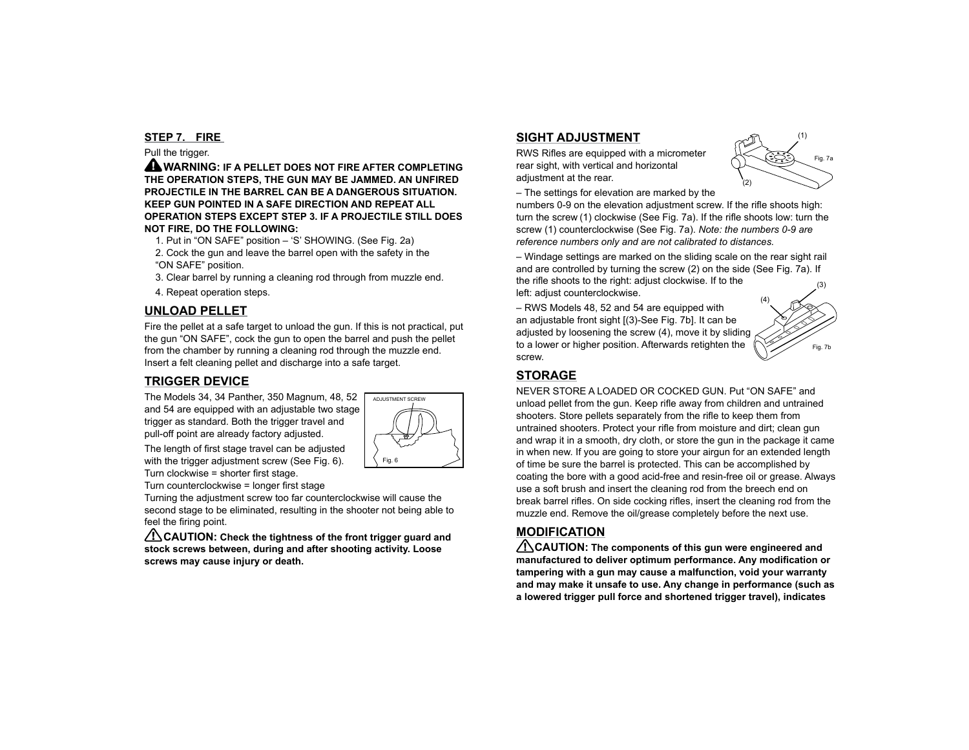#### **STEP 7. FIRE**

#### Pull the trigger.

 **WARNING: If a pellet does not fire after completing the operation steps, the gun may be jammed. An unfired projectile in the barrel can be a dangerous situation. Keep gun pointed in a safe direction and repeat all operation steps except Step 3. If a projectile still does not fire, do the following:**

- 1. Put in "ON SAFE" position 'S' SHOWING. (See Fig. 2a) 2. Cock the gun and leave the barrel open with the safety in the "ON SAFE" position.
- 3. Clear barrel by running a cleaning rod through from muzzle end.
- 4. Repeat operation steps.

## **UNLOAD PELLET**

Fire the pellet at a safe target to unload the gun. If this is not practical, put the gun "ON SAFE", cock the gun to open the barrel and push the pellet from the chamber by running a cleaning rod through the muzzle end. Insert a felt cleaning pellet and discharge into a safe target.

## **TRIGGER DEVICE**

The Models 34, 34 Panther, 350 Magnum, 48, 52 and 54 are equipped with an adjustable two stage trigger as standard. Both the trigger travel and pull-off point are already factory adjusted.



The length of first stage travel can be adjusted with the trigger adjustment screw (See Fig. 6). Turn clockwise = shorter first stage.

Turn counterclockwise = longer first stage

Turning the adjustment screw too far counterclockwise will cause the second stage to be eliminated, resulting in the shooter not being able to feel the firing point.

 **CAUTION: Check the tightness of the front trigger guard and stock screws between, during and after shooting activity. Loose screws may cause injury or death.**

## **SIGHT ADJUSTMENT**

RWS Rifles are equipped with a micrometer rear sight, with vertical and horizontal adiustment at the rear.



– The settings for elevation are marked by the

numbers 0-9 on the elevation adjustment screw. If the rifle shoots high: turn the screw (1) clockwise (See Fig. 7a). If the rifle shoots low: turn the screw (1) counterclockwise (See Fig. 7a). *Note: the numbers 0-9 are reference numbers only and are not calibrated to distances.*

– Windage settings are marked on the sliding scale on the rear sight rail and are controlled by turning the screw (2) on the side (See Fig. 7a). If the rifle shoots to the right: adjust clockwise. If to the left: adjust counterclockwise. (3)

– RWS Models 48, 52 and 54 are equipped with an adjustable front sight [(3)-See Fig. 7b]. It can be adjusted by loosening the screw (4), move it by sliding to a lower or higher position. Afterwards retighten the screw.



## **STORAGE**

NEVER STORE A LOADED OR COCKED GUN. Put "ON SAFE" and unload pellet from the gun. Keep rifle away from children and untrained shooters. Store pellets separately from the rifle to keep them from untrained shooters. Protect your rifle from moisture and dirt; clean gun and wrap it in a smooth, dry cloth, or store the gun in the package it came in when new. If you are going to store your airgun for an extended length of time be sure the barrel is protected. This can be accomplished by coating the bore with a good acid-free and resin-free oil or grease. Always use a soft brush and insert the cleaning rod from the breech end on break barrel rifles. On side cocking rifles, insert the cleaning rod from the muzzle end. Remove the oil/grease completely before the next use.

## **MODIFICATION**

 **CAUTION: The components of this gun were engineered and manufactured to deliver optimum performance. Any modification or tampering with a gun may cause a malfunction, void your warranty and may make it unsafe to use. Any change in performance (such as a lowered trigger pull force and shortened trigger travel), indicates**